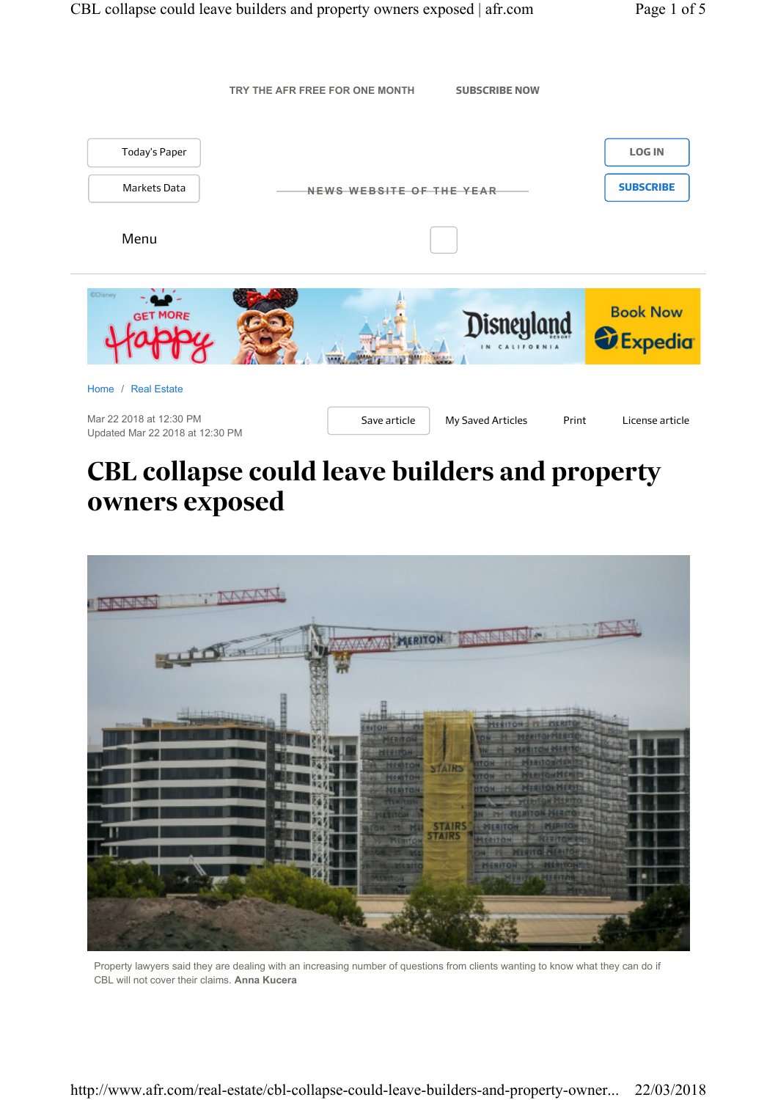

## *CBL collapse could leave builders and property owners exposed*



Property lawyers said they are dealing with an increasing number of questions from clients wanting to know what they can do if CBL will not cover their claims. **Anna Kucera**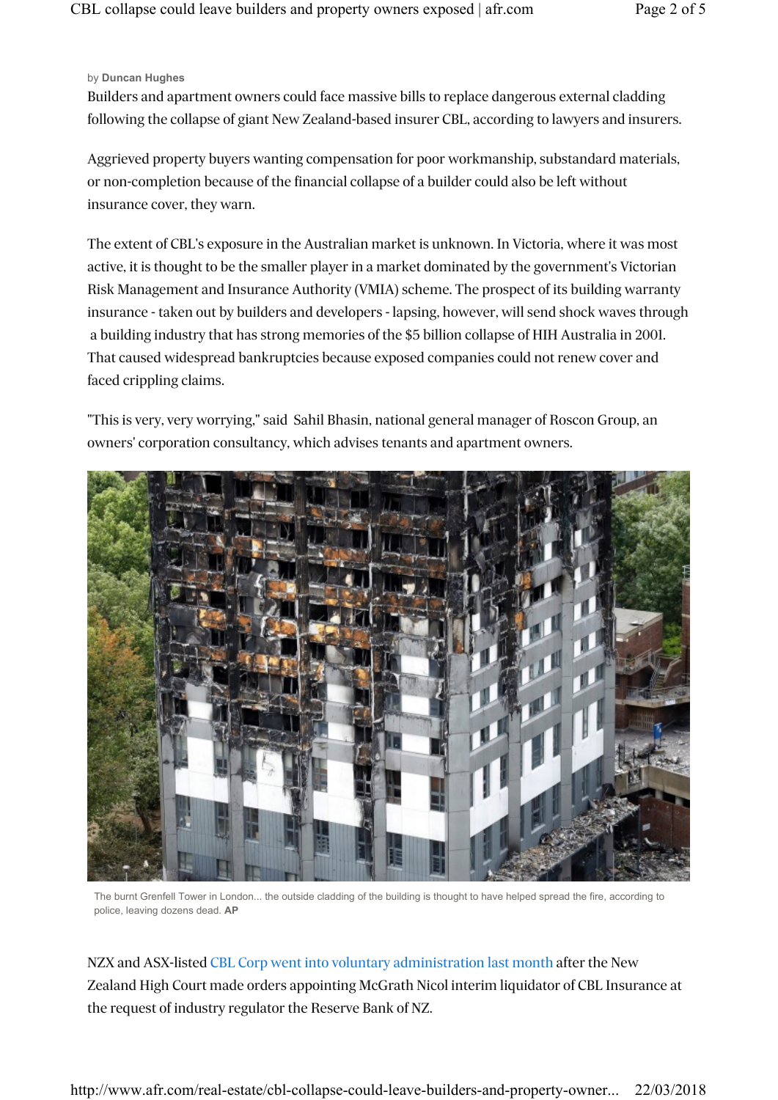## by **Duncan Hughes**

*Builders and apartment owners could face massive bills to replace dangerous external cladding following the collapse of giant New Zealand-based insurer CBL, according to lawyers and insurers.*

*Aggrieved property buyers wanting compensation for poor workmanship, substandard materials, or non-completion because of the financial collapse of a builder could also be left without insurance cover, they warn.*

*The extent of CBL's exposure in the Australian market is unknown. In Victoria, where it was most active, it is thought to be the smaller player in a market dominated by the government's Victorian Risk Management and Insurance Authority (VMIA) scheme. The prospect of its building warranty insurance - taken out by builders and developers - lapsing, however, will send shock waves through a building industry that has strong memories of the \$5 billion collapse of HIH Australia in 2001. That caused widespread bankruptcies because exposed companies could not renew cover and faced crippling claims.*

*"This is very, very worrying," said Sahil Bhasin, national general manager of Roscon Group, an owners' corporation consultancy, which advises tenants and apartment owners.*



The burnt Grenfell Tower in London... the outside cladding of the building is thought to have helped spread the fire, according to police, leaving dozens dead. **AP**

*NZX and ASX-listed CBL Corp went into voluntary administration last month after the New Zealand High Court made orders appointing McGrath Nicol interim liquidator of CBL Insurance at the request of industry regulator the Reserve Bank of NZ.*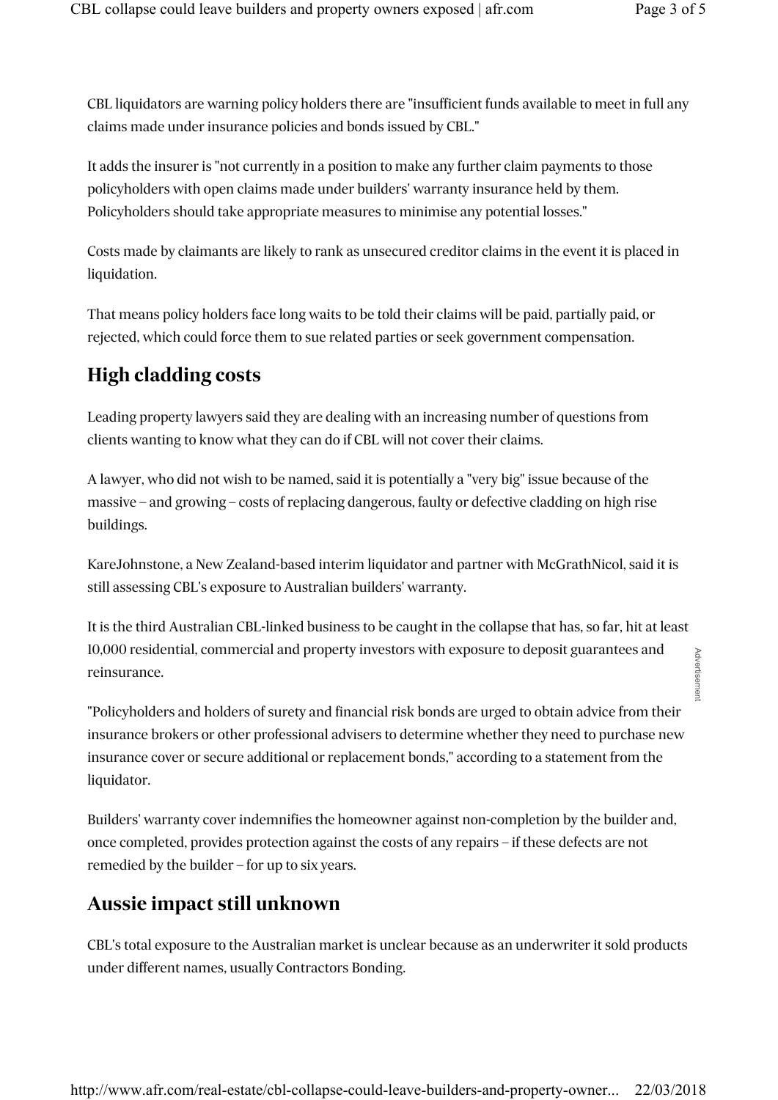Advertisemen

*CBL liquidators are warning policy holders there are "insufficient funds available to meet in full any claims made under insurance policies and bonds issued by CBL."*

*It adds the insurer is "not currently in a position to make any further claim payments to those policyholders with open claims made under builders' warranty insurance held by them. Policyholders should take appropriate measures to minimise any potential losses."*

*Costs made by claimants are likely to rank as unsecured creditor claims in the event it is placed in liquidation.*

*That means policy holders face long waits to be told their claims will be paid, partially paid, or rejected, which could force them to sue related parties or seek government compensation.*

## *High cladding costs*

Leading property lawyers said they are dealing with an increasing number of questions from *clients wanting to know what they can do if CBL will not cover their claims.*

*A lawyer, who did not wish to be named, said it is potentially a "very big" issue because of the massive – and growing – costs of replacing dangerous, faulty or defective cladding on high rise buildings.*

*KareJohnstone, a New Zealand-based interim liquidator and partner with McGrathNicol, said it is still assessing CBL's exposure to Australian builders' warranty.*

*It is the third Australian CBL-linked business to be caught in the collapse that has, so far, hit at least 10,000 residential, commercial and property investors with exposure to deposit guarantees and reinsurance.*

*"Policyholders and holders of surety and financial risk bonds are urged to obtain advice from their insurance brokers or other professional advisers to determine whether they need to purchase new insurance cover or secure additional or replacement bonds," according to a statement from the liquidator.*

*Builders' warranty cover indemnifies the homeowner against non-completion by the builder and, once completed, provides protection against the costs of any repairs – if these defects are not remedied by the builder – for up to six years.*

## *Aussie impact still unknown*

*CBL's total exposure to the Australian market is unclear because as an underwriter it sold products under different names, usually Contractors Bonding.*